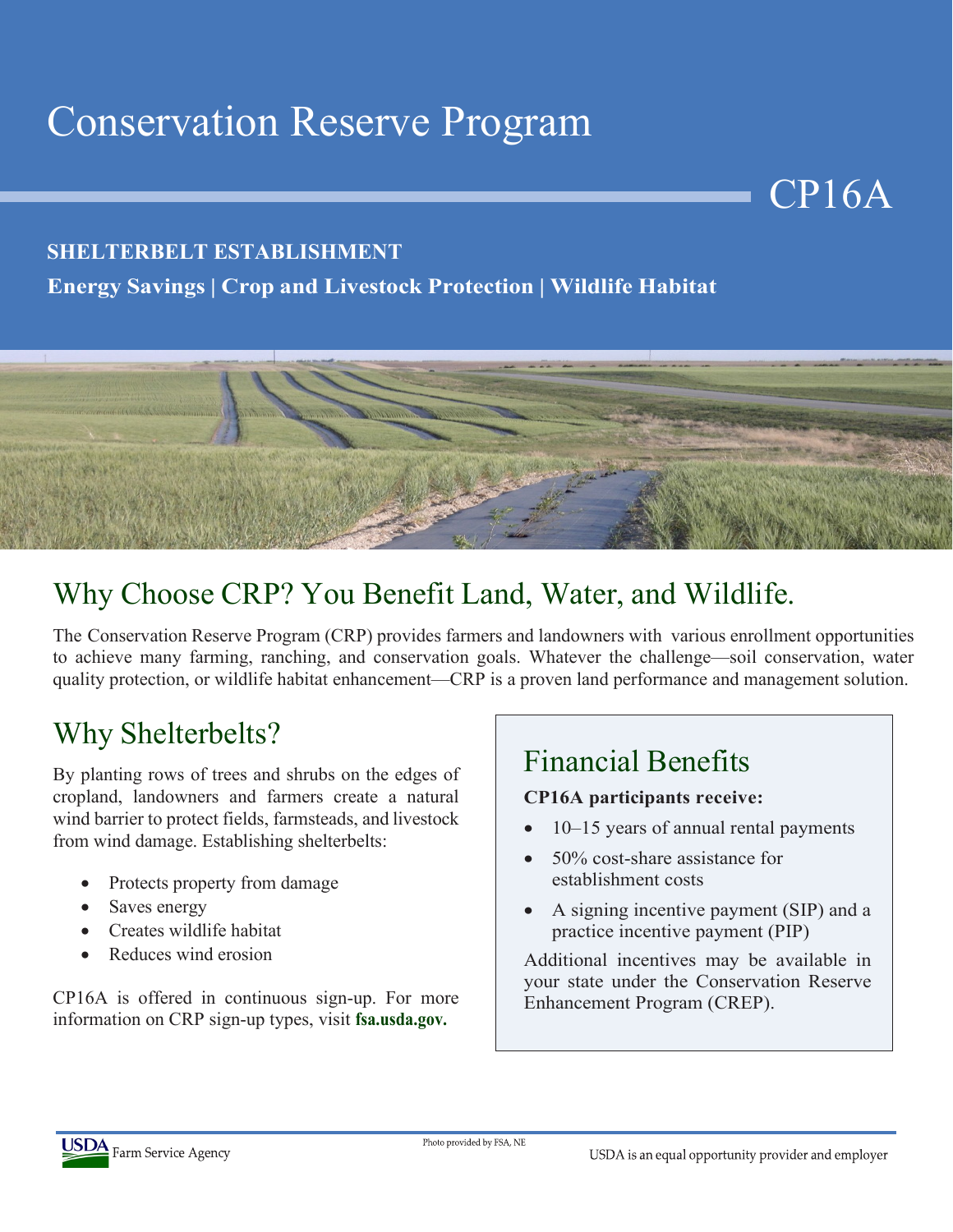# Conservation Reserve Program

### **SHELTERBELT ESTABLISHMENT**

### **Energy Savings | Crop and Livestock Protection | Wildlife Habitat**



## Why Choose CRP? You Benefit Land, Water, and Wildlife.

The Conservation Reserve Program (CRP) provides farmers and landowners with various enrollment opportunities to achieve many farming, ranching, and conservation goals. Whatever the challenge—soil conservation, water quality protection, or wildlife habitat enhancement—CRP is a proven land performance and management solution.

## Why Shelterbelts?

By planting rows of trees and shrubs on the edges of cropland, landowners and farmers create a natural wind barrier to protect fields, farmsteads, and livestock from wind damage. Establishing shelterbelts:

- Protects property from damage
- Saves energy
- Creates wildlife habitat
- Reduces wind erosion

CP16A is offered in continuous sign-up. For more information on CRP sign-up types, visit **fsa.usda.gov.**

## Financial Benefits

#### **CP16A participants receive:**

• 10–15 years of annual rental payments

CP16A

- 50% cost-share assistance for establishment costs
- A signing incentive payment (SIP) and a practice incentive payment (PIP)

Additional incentives may be available in your state under the Conservation Reserve Enhancement Program (CREP).